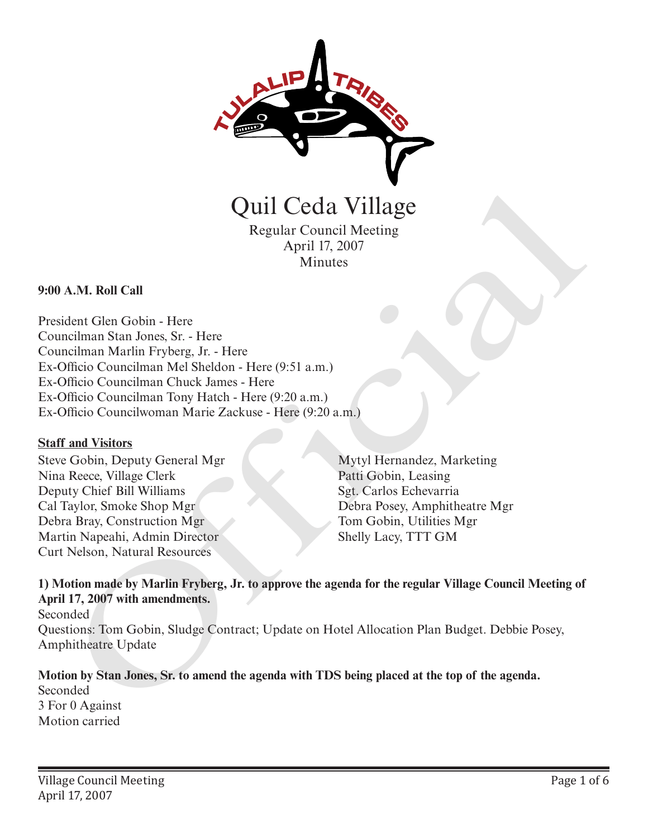

Quil Ceda Village

Regular Council Meeting April 17, 2007 Minutes

#### **9:00 A.M. Roll Call**

President Glen Gobin - Here Councilman Stan Jones, Sr. - Here Councilman Marlin Fryberg, Jr. - Here Ex-Officio Councilman Mel Sheldon - Here (9:51 a.m.) Ex-Officio Councilman Chuck James - Here Ex-Officio Councilman Tony Hatch - Here (9:20 a.m.) Ex-Officio Councilwoman Marie Zackuse - Here (9:20 a.m.) Quil Ceda Village<br>
Regular Council Meeting<br>
ALM. Roll Call<br>
Annue April 17, 2007<br>
Minutes<br>
Annue Marin Hypterg, Jr. - Here<br>
melinian Maria Hypterg, Jr. - Here<br>
melinion Councilinan Duke James. Here<br>
(9:51 a.m.)<br>
Dificio Co

#### **Staff and Visitors**

Steve Gobin, Deputy General Mgr Nina Reece, Village Clerk Deputy Chief Bill Williams Cal Taylor, Smoke Shop Mgr Debra Bray, Construction Mgr Martin Napeahi, Admin Director Curt Nelson, Natural Resources

Mytyl Hernandez, Marketing Patti Gobin, Leasing Sgt. Carlos Echevarria Debra Posey, Amphitheatre Mgr Tom Gobin, Utilities Mgr Shelly Lacy, TTT GM

## **1) Motion made by Marlin Fryberg, Jr. to approve the agenda for the regular Village Council Meeting of April 17, 2007 with amendments.**

Seconded Questions: Tom Gobin, Sludge Contract; Update on Hotel Allocation Plan Budget. Debbie Posey, Amphitheatre Update

**Motion by Stan Jones, Sr. to amend the agenda with TDS being placed at the top of the agenda.** Seconded 3 For 0 Against Motion carried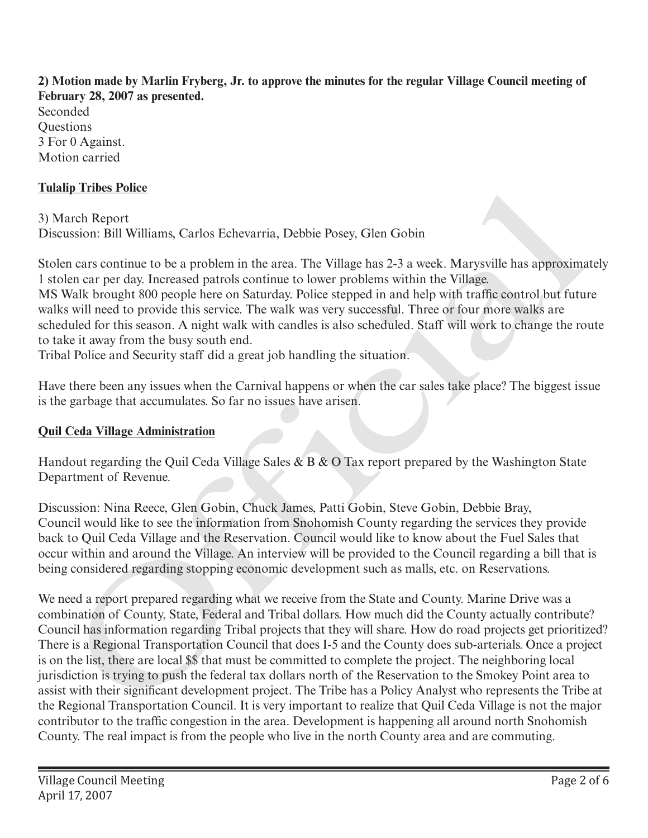**2) Motion made by Marlin Fryberg, Jr. to approve the minutes for the regular Village Council meeting of February 28, 2007 as presented.** Seconded **Ouestions** 3 For 0 Against. Motion carried

## **Tulalip Tribes Police**

3) March Report Discussion: Bill Williams, Carlos Echevarria, Debbie Posey, Glen Gobin

Stolen cars continue to be a problem in the area. The Village has 2-3 a week. Marysville has approximately 1 stolen car per day. Increased patrols continue to lower problems within the Village. MS Walk brought 800 people here on Saturday. Police stepped in and help with traffic control but future walks will need to provide this service. The walk was very successful. Three or four more walks are scheduled for this season. A night walk with candles is also scheduled. Staff will work to change the route to take it away from the busy south end.

Tribal Police and Security staff did a great job handling the situation.

Have there been any issues when the Carnival happens or when the car sales take place? The biggest issue is the garbage that accumulates. So far no issues have arisen.

#### **Quil Ceda Village Administration**

Handout regarding the Quil Ceda Village Sales  $\& B \& O$  Tax report prepared by the Washington State Department of Revenue.

Discussion: Nina Reece, Glen Gobin, Chuck James, Patti Gobin, Steve Gobin, Debbie Bray, Council would like to see the information from Snohomish County regarding the services they provide back to Quil Ceda Village and the Reservation. Council would like to know about the Fuel Sales that occur within and around the Village. An interview will be provided to the Council regarding a bill that is being considered regarding stopping economic development such as malls, etc. on Reservations.

We need a report prepared regarding what we receive from the State and County. Marine Drive was a combination of County, State, Federal and Tribal dollars. How much did the County actually contribute? Council has information regarding Tribal projects that they will share. How do road projects get prioritized? There is a Regional Transportation Council that does I-5 and the County does sub-arterials. Once a project is on the list, there are local \$\$ that must be committed to complete the project. The neighboring local jurisdiction is trying to push the federal tax dollars north of the Reservation to the Smokey Point area to assist with their significant development project. The Tribe has a Policy Analyst who represents the Tribe at the Regional Transportation Council. It is very important to realize that Quil Ceda Village is not the major contributor to the traffic congestion in the area. Development is happening all around north Snohomish County. The real impact is from the people who live in the north County area and are commuting. **ing Times Foliee**<br>
arch Report<br>
archive and the Secure of the Renderiction Counted It is a Post-Wille the Nightonial Figure 10 to the mean and Night Counter products of the Minimum to lower products of the approximate and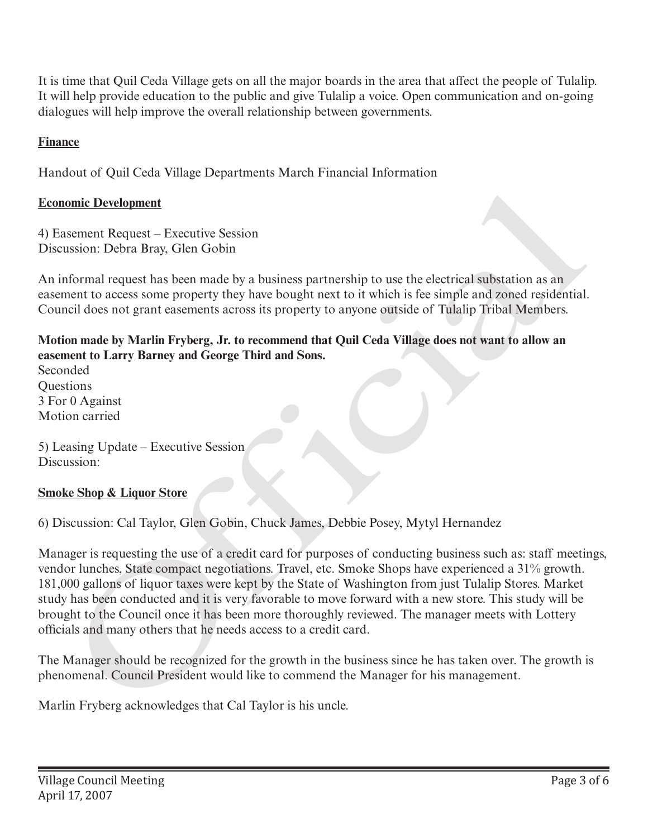It is time that Quil Ceda Village gets on all the major boards in the area that affect the people of Tulalip. It will help provide education to the public and give Tulalip a voice. Open communication and on-going dialogues will help improve the overall relationship between governments.

## **Finance**

Handout of Quil Ceda Village Departments March Financial Information

## **Economic Development**

4) Easement Request – Executive Session Discussion: Debra Bray, Glen Gobin

An informal request has been made by a business partnership to use the electrical substation as an easement to access some property they have bought next to it which is fee simple and zoned residential. Council does not grant easements across its property to anyone outside of Tulalip Tribal Members.

**Motion made by Marlin Fryberg, Jr. to recommend that Quil Ceda Village does not want to allow an easement to Larry Barney and George Third and Sons.**

Seconded **Ouestions** 3 For 0 Against Motion carried

5) Leasing Update – Executive Session Discussion:

## **Smoke Shop & Liquor Store**

6) Discussion: Cal Taylor, Glen Gobin, Chuck James, Debbie Posey, Mytyl Hernandez

Manager is requesting the use of a credit card for purposes of conducting business such as: staff meetings, vendor lunches, State compact negotiations. Travel, etc. Smoke Shops have experienced a 31% growth. 181,000 gallons of liquor taxes were kept by the State of Washington from just Tulalip Stores. Market study has been conducted and it is very favorable to move forward with a new store. This study will be brought to the Council once it has been more thoroughly reviewed. The manager meets with Lottery officials and many others that he needs access to a credit card. **Economic Development**<br>
4) Fasement Request – Executive Session<br>
Discussion: Debra Bray, Glen Gobin<br>
2An informal request has been mude by a business partnership to use the electrical substation as an<br>
easement to access s

The Manager should be recognized for the growth in the business since he has taken over. The growth is phenomenal. Council President would like to commend the Manager for his management.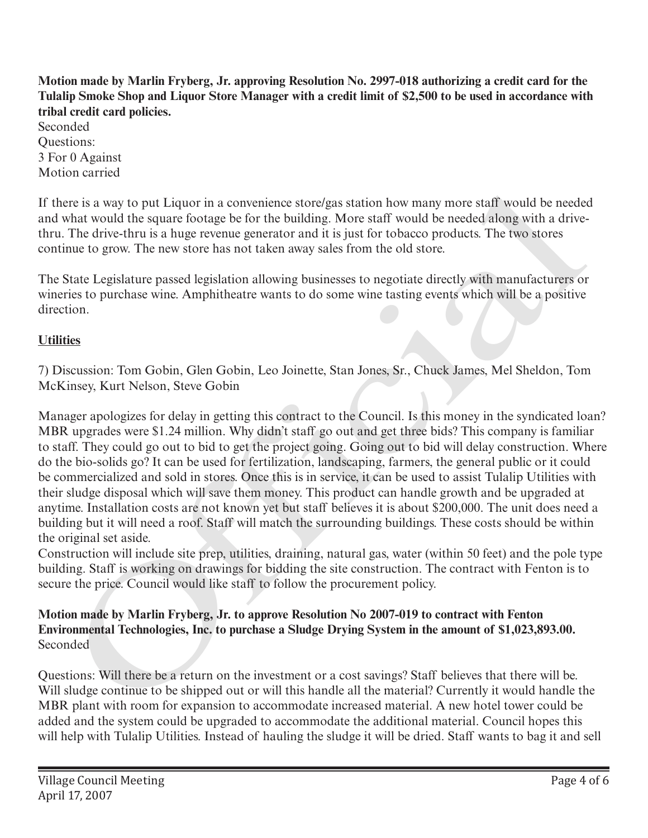**Motion made by Marlin Fryberg, Jr. approving Resolution No. 2997-018 authorizing a credit card for the Tulalip Smoke Shop and Liquor Store Manager with a credit limit of \$2,500 to be used in accordance with tribal credit card policies.**

Seconded Questions: 3 For 0 Against Motion carried

If there is a way to put Liquor in a convenience store/gas station how many more staff would be needed and what would the square footage be for the building. More staff would be needed along with a drivethru. The drive-thru is a huge revenue generator and it is just for tobacco products. The two stores continue to grow. The new store has not taken away sales from the old store.

The State Legislature passed legislation allowing businesses to negotiate directly with manufacturers or wineries to purchase wine. Amphitheatre wants to do some wine tasting events which will be a positive direction.

# **Utilities**

7) Discussion: Tom Gobin, Glen Gobin, Leo Joinette, Stan Jones, Sr., Chuck James, Mel Sheldon, Tom McKinsey, Kurt Nelson, Steve Gobin

Manager apologizes for delay in getting this contract to the Council. Is this money in the syndicated loan? MBR upgrades were \$1.24 million. Why didn't staff go out and get three bids? This company is familiar to staff. They could go out to bid to get the project going. Going out to bid will delay construction. Where do the bio-solids go? It can be used for fertilization, landscaping, farmers, the general public or it could be commercialized and sold in stores. Once this is in service, it can be used to assist Tulalip Utilities with their sludge disposal which will save them money. This product can handle growth and be upgraded at anytime. Installation costs are not known yet but staff believes it is about \$200,000. The unit does need a building but it will need a roof. Staff will match the surrounding buildings. These costs should be within the original set aside. ere is a way to put Liquor in a convenience storc/gas station how many more staff would be needed<br>what would the square footage be for the building. More staff would be needed along with a drive-<br>The drive-thru is a huge r

Construction will include site prep, utilities, draining, natural gas, water (within 50 feet) and the pole type building. Staff is working on drawings for bidding the site construction. The contract with Fenton is to secure the price. Council would like staff to follow the procurement policy.

## **Motion made by Marlin Fryberg, Jr. to approve Resolution No 2007-019 to contract with Fenton Environmental Technologies, Inc. to purchase a Sludge Drying System in the amount of \$1,023,893.00.** Seconded

Questions: Will there be a return on the investment or a cost savings? Staff believes that there will be. Will sludge continue to be shipped out or will this handle all the material? Currently it would handle the MBR plant with room for expansion to accommodate increased material. A new hotel tower could be added and the system could be upgraded to accommodate the additional material. Council hopes this will help with Tulalip Utilities. Instead of hauling the sludge it will be dried. Staff wants to bag it and sell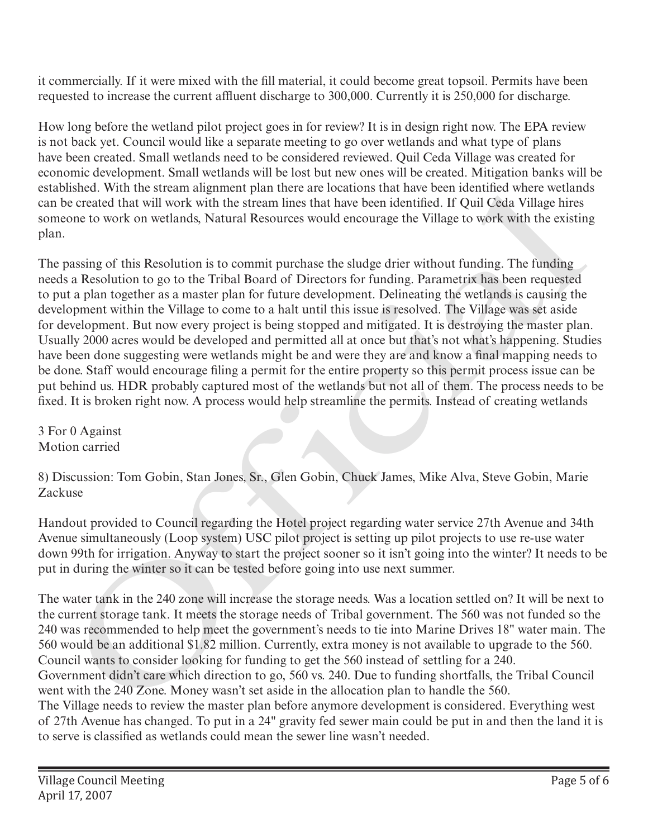it commercially. If it were mixed with the fill material, it could become great topsoil. Permits have been requested to increase the current affluent discharge to 300,000. Currently it is 250,000 for discharge.

How long before the wetland pilot project goes in for review? It is in design right now. The EPA review is not back yet. Council would like a separate meeting to go over wetlands and what type of plans have been created. Small wetlands need to be considered reviewed. Quil Ceda Village was created for economic development. Small wetlands will be lost but new ones will be created. Mitigation banks will be established. With the stream alignment plan there are locations that have been identified where wetlands can be created that will work with the stream lines that have been identified. If Quil Ceda Village hires someone to work on wetlands, Natural Resources would encourage the Village to work with the existing plan.

The passing of this Resolution is to commit purchase the sludge drier without funding. The funding needs a Resolution to go to the Tribal Board of Directors for funding. Parametrix has been requested to put a plan together as a master plan for future development. Delineating the wetlands is causing the development within the Village to come to a halt until this issue is resolved. The Village was set aside for development. But now every project is being stopped and mitigated. It is destroying the master plan. Usually 2000 acres would be developed and permitted all at once but that's not what's happening. Studies have been done suggesting were wetlands might be and were they are and know a final mapping needs to be done. Staff would encourage filing a permit for the entire property so this permit process issue can be put behind us. HDR probably captured most of the wetlands but not all of them. The process needs to be fixed. It is broken right now. A process would help streamline the permits. Instead of creating wetlands sisten. Wint ins areasan angmenta para there are locations that nave need namelihat. When the set and the set and the set and the set and the set and the set and the set and the set and the set and the set and the set and

3 For 0 Against Motion carried

8) Discussion: Tom Gobin, Stan Jones, Sr., Glen Gobin, Chuck James, Mike Alva, Steve Gobin, Marie Zackuse

Handout provided to Council regarding the Hotel project regarding water service 27th Avenue and 34th Avenue simultaneously (Loop system) USC pilot project is setting up pilot projects to use re-use water down 99th for irrigation. Anyway to start the project sooner so it isn't going into the winter? It needs to be put in during the winter so it can be tested before going into use next summer.

The water tank in the 240 zone will increase the storage needs. Was a location settled on? It will be next to the current storage tank. It meets the storage needs of Tribal government. The 560 was not funded so the 240 was recommended to help meet the government's needs to tie into Marine Drives 18" water main. The 560 would be an additional \$1.82 million. Currently, extra money is not available to upgrade to the 560. Council wants to consider looking for funding to get the 560 instead of settling for a 240. Government didn't care which direction to go, 560 vs. 240. Due to funding shortfalls, the Tribal Council went with the 240 Zone. Money wasn't set aside in the allocation plan to handle the 560. The Village needs to review the master plan before anymore development is considered. Everything west of 27th Avenue has changed. To put in a 24" gravity fed sewer main could be put in and then the land it is to serve is classified as wetlands could mean the sewer line wasn't needed.